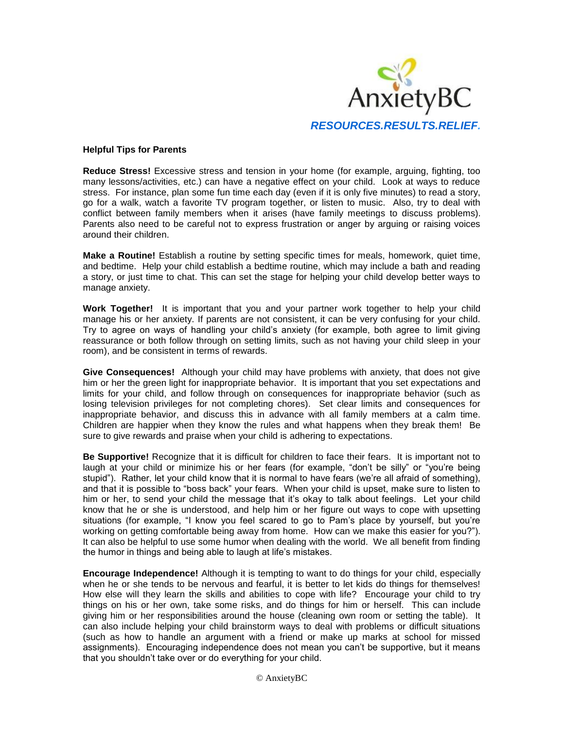

## **Helpful Tips for Parents**

**Reduce Stress!** Excessive stress and tension in your home (for example, arguing, fighting, too many lessons/activities, etc.) can have a negative effect on your child. Look at ways to reduce stress. For instance, plan some fun time each day (even if it is only five minutes) to read a story, go for a walk, watch a favorite TV program together, or listen to music. Also, try to deal with conflict between family members when it arises (have family meetings to discuss problems). Parents also need to be careful not to express frustration or anger by arguing or raising voices around their children.

**Make a Routine!** Establish a routine by setting specific times for meals, homework, quiet time, and bedtime. Help your child establish a bedtime routine, which may include a bath and reading a story, or just time to chat. This can set the stage for helping your child develop better ways to manage anxiety.

**Work Together!** It is important that you and your partner work together to help your child manage his or her anxiety. If parents are not consistent, it can be very confusing for your child. Try to agree on ways of handling your child's anxiety (for example, both agree to limit giving reassurance or both follow through on setting limits, such as not having your child sleep in your room), and be consistent in terms of rewards.

**Give Consequences!** Although your child may have problems with anxiety, that does not give him or her the green light for inappropriate behavior. It is important that you set expectations and limits for your child, and follow through on consequences for inappropriate behavior (such as losing television privileges for not completing chores). Set clear limits and consequences for inappropriate behavior, and discuss this in advance with all family members at a calm time. Children are happier when they know the rules and what happens when they break them! Be sure to give rewards and praise when your child is adhering to expectations.

**Be Supportive!** Recognize that it is difficult for children to face their fears. It is important not to laugh at your child or minimize his or her fears (for example, "don't be silly" or "you're being stupid"). Rather, let your child know that it is normal to have fears (we're all afraid of something), and that it is possible to "boss back" your fears. When your child is upset, make sure to listen to him or her, to send your child the message that it's okay to talk about feelings. Let your child know that he or she is understood, and help him or her figure out ways to cope with upsetting situations (for example, "I know you feel scared to go to Pam's place by yourself, but you're working on getting comfortable being away from home. How can we make this easier for you?"). It can also be helpful to use some humor when dealing with the world. We all benefit from finding the humor in things and being able to laugh at life's mistakes.

**Encourage Independence!** Although it is tempting to want to do things for your child, especially when he or she tends to be nervous and fearful, it is better to let kids do things for themselves! How else will they learn the skills and abilities to cope with life? Encourage your child to try things on his or her own, take some risks, and do things for him or herself. This can include giving him or her responsibilities around the house (cleaning own room or setting the table). It can also include helping your child brainstorm ways to deal with problems or difficult situations (such as how to handle an argument with a friend or make up marks at school for missed assignments). Encouraging independence does not mean you can't be supportive, but it means that you shouldn't take over or do everything for your child.